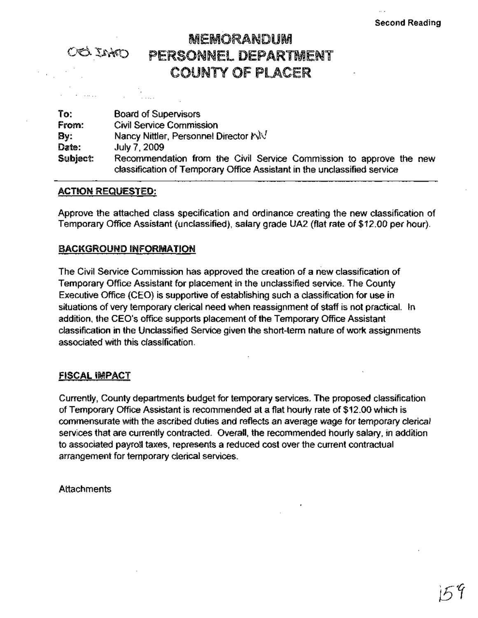# MEMORANDUM OO INO PERSONNEL DEPARTMENT COUNTY Of PLACER

To: From: By: Date: Subject: Board of Supervisors Civil Service Commission Nancy Nittler, Personnel Director  $\aleph\!\mathbb{W}$ July 7,2009 Recommendation from the Civil Service Commission to approve the new classification of Temporary Office Assistant in the unclassified service

# ACTION REQUESTED: .

Approve the attached class specification and ordinance creating the new classification of Temporary Office Assistant (unclassified), salary grade UA2 (flat rate of \$12.00 per hour).

# BACKGROUND INFORMATION

The Civil Service Commission has approved the creation of a new classification of Temporary Office Assistant for placement in the unclassified service. The County Executive Office (CEO) is supportive of establishing such a classification for use in situations of very temporary clerical need when reassignment of staff is not practical. In addition, the CEO's office supports placement of the Temporary Office Assistant classification in the Unclassified Service given the short-term nature of work assignments associated with this classification.

# <u>FISCAL IMPACT</u>

Currently, County departments budget for temporary services. The proposed classification of Temporary Office Assistant is recommended at a flat hourly rate of \$12.00 which is commensurate with the ascribed duties and reflects an average wage for temporary clerical services that are currently contracted. Overall, the recommended hourly salary, in addition to associated payroll taxes, represents a reduced cost over the current contractual arrangement for temporary clerical services.

**Attachments**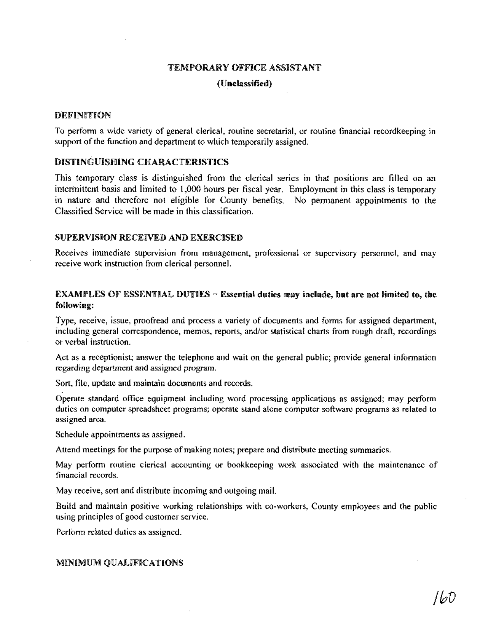## TEMPORARY OFFICE ASSISTANT

#### (Unclassified)

#### DEFINITiON

To perform a wide variety of general clerical, routine secretarial, or routine financial recordkeeping in support of the function and department to which temporarily assigned.

## DISTINGUISHING CHARACTERISTICS

This temporary class is distinguished from the clerical series in that positions are filled on an intermittent basis and limited to 1,000 hours per fiscal year. Employment in this class is temporary in nature and therefore not eligible for County benefits. No permanent appointments to the Classified Service will be made in this classification.

#### SUPERVISION RECEIVED AND EXERCISED

Receives immediate supervision from management, professional or supervisory personnel, and may receive work instruction from clerical personnel.

# EXAMPLES OF ESSENTIAL DUTIES  $\sim$  Essential duties may include, but are not limited to, the following:

Type, receive, issue, proofread and process a variety of documents and forms for assigned department, including general correspondence, memos, reports, and/or statistical charts from rough draft, recordings or verbal instruction.

Act as a receptionist; answer the telephone and wait on the general public; provide general information regarding department and assigned program.

Sort, file, update and maintain documents and records.

Operate standard office equipment including word processing applications as assigned; may perform duties on computer spreadsheet programs; operate stand alone computer software programs as related to assigned area.

Schedule appointments as assigned.

Attend meetings for the purpose of making notes; prepare and distribute meeting summaries.

May perform routine clerical accounting or bookkeeping work associated with the maintenance of financial records.

May receive, sort and distribute incoming and outgoing maiL

Build and maintain positive working relationships with co-workers, County employees and the public using principles of good customer service.

Perform related duties as assigned.

#### MINIMUM QUALIFiCATIONS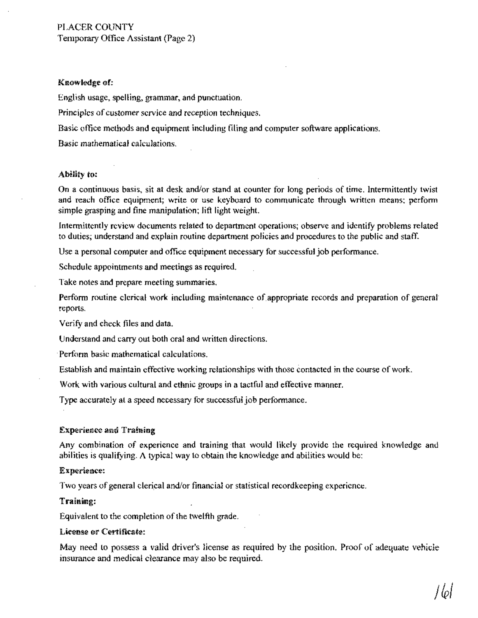## Knowledge of:

English usage, spelling, grammar, and punctuation.

Principles of customer *service* and reception techniques.

Basic office methods and equipment including filing and computer software applications.

Basic mathematical calculations.

# Ability to:

On a continuous basis, sit at desk and/or stand at counter for long periods of time. Intermittently twist and reach office equipment; write or use keyboard to communicate through written means; perform simple grasping and fine manipulation; lift light weight.

Intermittently review documents related to department operations; observe and identify problems related to duties; understand and explain routine department policies and procedures to the publicand staff.

Use a personal computer and office equipment necessary for successful job performance.

Schedule appointments and meetings as required.

Take notes and prepare meeting summaries.

Perform routine clerical work including maintenance of appropriate records and preparation of general reports.

Verify and check files and data.

Understand and carry out both oral and written directions.

Perform basic mathematical calculations.

Establish and maintain effective working relationships with those contacted in the course ofwork.

Work with various cultural and ethnic groups in a tactful and effective manner.

Type accurately at a speed necessary for successful job performance.

## Experience and Training

Any combination of experience and training that would likely provide the required knowledge and abilities is qualifying. A typical way to obtain the knowledge and abilities would be:

## Experience:

Two years of general clerical and/or financial or statistical recordkeeping experience.

# Training:

Equivalent to the completion of the twelfth grade.

## License or Certificate:

May need to possess a valid driver's license as required by the position. Proof of adequate vehicle insurance and medical clearance may also be required.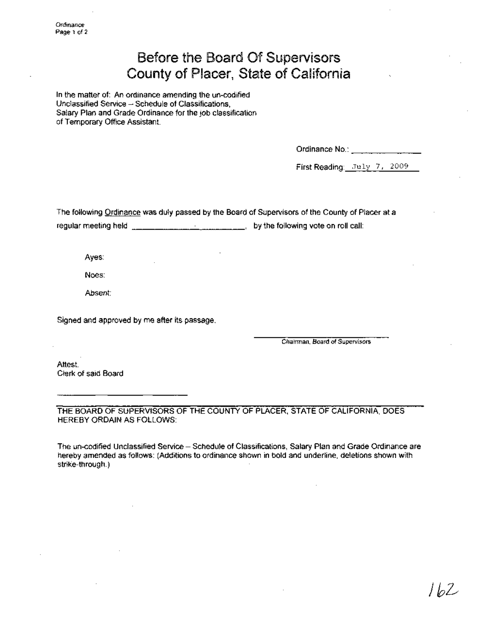# Before the Board Of Supervisors County of Placer, State of California

In the matter of: An ordinance amending the un-codified Unclassified Service - Schedule of Classifications, Salary Plan and Grade Ordinance for the job classification of Temporary Office Assistant.

Ordinance No.: \_

First Reading: July 7, 2009

The following Ordinance was dUly passed by the Board of Supervisors of the County of Placer at a regular meeting held  $\frac{1}{b}$   $\frac{1}{c}$   $\frac{1}{c}$   $\frac{1}{c}$   $\frac{1}{c}$   $\frac{1}{c}$   $\frac{1}{c}$   $\frac{1}{c}$  by the following vote on roll call:

Ayes:

Noes:

Absent:

Signed and approved by me after its passage.

Chairman, Board of Supervisors

Attest: Clerk of said Board

THE BOARD OF SUPERVISORS OF THE COUNTY OF PLACER, STATE OF CALIFORNIA, DOES HEREBY ORDAIN AS FOLLOWS:

The un-codified Unclassified Service - Schedule of Classifications, Salary Plan and Grade Ordinance are hereby amended as follows: (Additions to ordinance shown in bold and underline, deletions shown with strike-through.)

) b2